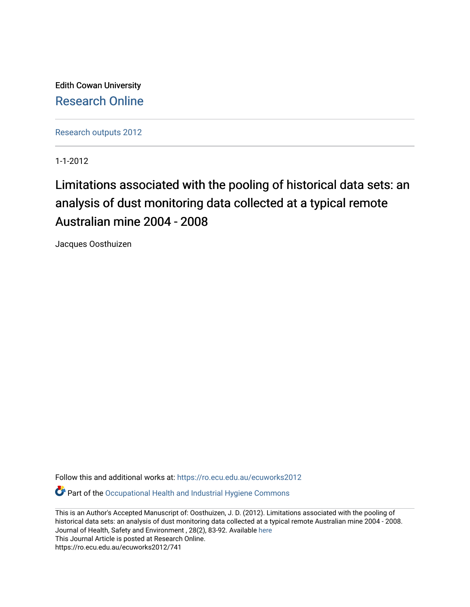Edith Cowan University [Research Online](https://ro.ecu.edu.au/) 

[Research outputs 2012](https://ro.ecu.edu.au/ecuworks2012)

1-1-2012

# Limitations associated with the pooling of historical data sets: an analysis of dust monitoring data collected at a typical remote Australian mine 2004 - 2008

Jacques Oosthuizen

Follow this and additional works at: [https://ro.ecu.edu.au/ecuworks2012](https://ro.ecu.edu.au/ecuworks2012?utm_source=ro.ecu.edu.au%2Fecuworks2012%2F741&utm_medium=PDF&utm_campaign=PDFCoverPages) 

Part of the [Occupational Health and Industrial Hygiene Commons](http://network.bepress.com/hgg/discipline/742?utm_source=ro.ecu.edu.au%2Fecuworks2012%2F741&utm_medium=PDF&utm_campaign=PDFCoverPages) 

This is an Author's Accepted Manuscript of: Oosthuizen, J. D. (2012). Limitations associated with the pooling of historical data sets: an analysis of dust monitoring data collected at a typical remote Australian mine 2004 - 2008. Journal of Health, Safety and Environment , 28(2), 83-92. Available [here](http://www.cch.com.au/au/marketingpromo/marketingpromo.aspx?id=4)  This Journal Article is posted at Research Online.

https://ro.ecu.edu.au/ecuworks2012/741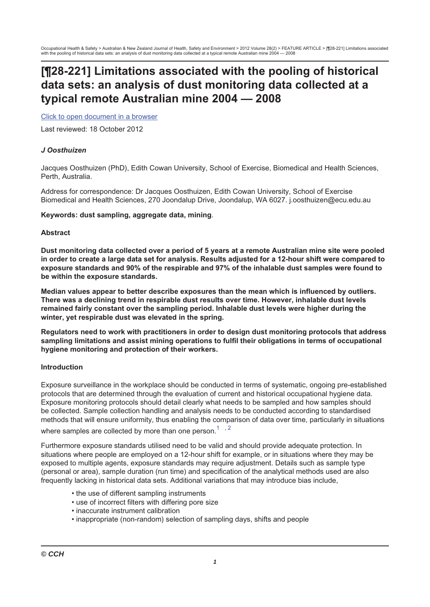## [¶28-221] Limitations associated with the pooling of historical data sets: an analysis of dust monitoring data collected at a typical remote Australian mine 2004 - 2008

Click to open document in a browser

Last reviewed: 18 October 2012

## J Oosthuizen

Jacques Oosthuizen (PhD), Edith Cowan University, School of Exercise, Biomedical and Health Sciences, Perth. Australia.

Address for correspondence: Dr Jacques Oosthuizen, Edith Cowan University, School of Exercise Biomedical and Health Sciences, 270 Joondalup Drive, Joondalup, WA 6027. j.oosthuizen@ecu.edu.au

#### Keywords: dust sampling, aggregate data, mining.

#### **Abstract**

Dust monitoring data collected over a period of 5 years at a remote Australian mine site were pooled in order to create a large data set for analysis. Results adjusted for a 12-hour shift were compared to exposure standards and 90% of the respirable and 97% of the inhalable dust samples were found to be within the exposure standards.

Median values appear to better describe exposures than the mean which is influenced by outliers. There was a declining trend in respirable dust results over time. However, inhalable dust levels remained fairly constant over the sampling period. Inhalable dust levels were higher during the winter, yet respirable dust was elevated in the spring.

Regulators need to work with practitioners in order to design dust monitoring protocols that address sampling limitations and assist mining operations to fulfil their obligations in terms of occupational hygiene monitoring and protection of their workers.

#### **Introduction**

Exposure surveillance in the workplace should be conducted in terms of systematic, ongoing pre-established protocols that are determined through the evaluation of current and historical occupational hygiene data. Exposure monitoring protocols should detail clearly what needs to be sampled and how samples should be collected. Sample collection handling and analysis needs to be conducted according to standardised methods that will ensure uniformity, thus enabling the comparison of data over time, particularly in situations

where samples are collected by more than one person. $1, 2$ 

Furthermore exposure standards utilised need to be valid and should provide adequate protection. In situations where people are emploved on a 12-hour shift for example, or in situations where they may be exposed to multiple agents, exposure standards may require adjustment. Details such as sample type (personal or area), sample duration (run time) and specification of the analytical methods used are also frequently lacking in historical data sets. Additional variations that may introduce bias include,

- the use of different sampling instruments
- use of incorrect filters with differing pore size
- · inaccurate instrument calibration
- inappropriate (non-random) selection of sampling days, shifts and people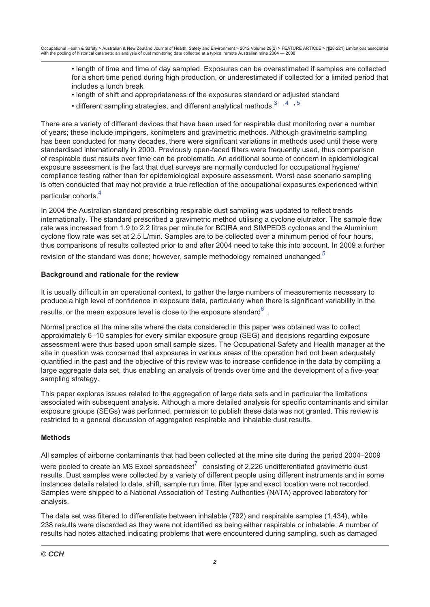- length of time and time of day sampled. Exposures can be overestimated if samples are collected for a short time period during high production, or underestimated if collected for a limited period that includes a lunch break
- . length of shift and appropriateness of the exposures standard or adjusted standard
- different sampling strategies, and different analytical methods.<sup>3</sup>,4,5

There are a variety of different devices that have been used for respirable dust monitoring over a number of years; these include impingers, konimeters and gravimetric methods. Although gravimetric sampling has been conducted for many decades, there were significant variations in methods used until these were standardised internationally in 2000. Previously open-faced filters were frequently used, thus comparison of respirable dust results over time can be problematic. An additional source of concern in epidemiological exposure assessment is the fact that dust surveys are normally conducted for occupational hygiene/ compliance testing rather than for epidemiological exposure assessment. Worst case scenario sampling is often conducted that may not provide a true reflection of the occupational exposures experienced within particular cohorts.<sup>4</sup>

In 2004 the Australian standard prescribing respirable dust sampling was updated to reflect trends internationally. The standard prescribed a gravimetric method utilising a cyclone elutriator. The sample flow rate was increased from 1.9 to 2.2 litres per minute for BCIRA and SIMPEDS cyclones and the Aluminium cyclone flow rate was set at 2.5 L/min. Samples are to be collected over a minimum period of four hours. thus comparisons of results collected prior to and after 2004 need to take this into account. In 2009 a further

revision of the standard was done; however, sample methodology remained unchanged.<sup>5</sup>

## Background and rationale for the review

It is usually difficult in an operational context, to gather the large numbers of measurements necessary to produce a high level of confidence in exposure data, particularly when there is significant variability in the results, or the mean exposure level is close to the exposure standard<sup>6</sup>.

Normal practice at the mine site where the data considered in this paper was obtained was to collect approximately 6–10 samples for every similar exposure group (SEG) and decisions regarding exposure assessment were thus based upon small sample sizes. The Occupational Safety and Health manager at the site in question was concerned that exposures in various areas of the operation had not been adequately quantified in the past and the objective of this review was to increase confidence in the data by compiling a large aggregate data set, thus enabling an analysis of trends over time and the development of a five-year sampling strategy.

This paper explores issues related to the aggregation of large data sets and in particular the limitations associated with subsequent analysis. Although a more detailed analysis for specific contaminants and similar exposure groups (SEGs) was performed, permission to publish these data was not granted. This review is restricted to a general discussion of aggregated respirable and inhalable dust results.

## **Methods**

All samples of airborne contaminants that had been collected at the mine site during the period 2004–2009

were pooled to create an MS Excel spreadsheet<sup>7</sup> consisting of 2,226 undifferentiated gravimetric dust results. Dust samples were collected by a variety of different people using different instruments and in some instances details related to date, shift, sample run time, filter type and exact location were not recorded. Samples were shipped to a National Association of Testing Authorities (NATA) approved laboratory for analysis.

The data set was filtered to differentiate between inhalable (792) and respirable samples (1,434), while 238 results were discarded as they were not identified as being either respirable or inhalable. A number of results had notes attached indicating problems that were encountered during sampling, such as damaged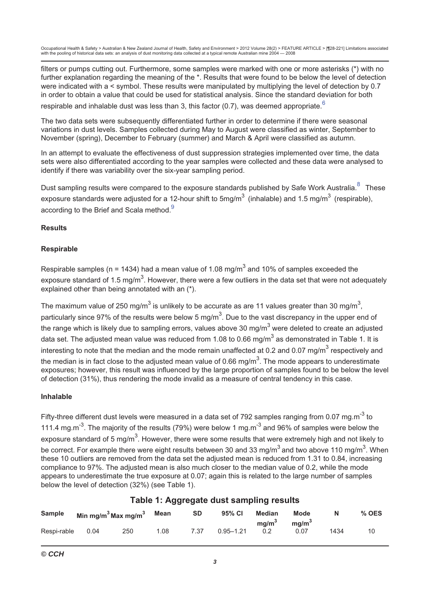filters or pumps cutting out. Furthermore, some samples were marked with one or more asterisks (\*) with no further explanation regarding the meaning of the \*. Results that were found to be below the level of detection were indicated with a < symbol. These results were manipulated by multiplying the level of detection by 0.7 in order to obtain a value that could be used for statistical analysis. Since the standard deviation for both

respirable and inhalable dust was less than 3, this factor (0.7), was deemed appropriate.  $6\overline{ }$ 

The two data sets were subsequently differentiated further in order to determine if there were seasonal variations in dust levels. Samples collected during May to August were classified as winter. September to November (spring), December to February (summer) and March & April were classified as autumn.

In an attempt to evaluate the effectiveness of dust suppression strategies implemented over time, the data sets were also differentiated according to the year samples were collected and these data were analysed to identify if there was variability over the six-year sampling period.

Dust sampling results were compared to the exposure standards published by Safe Work Australia.<sup>8</sup> These exposure standards were adjusted for a 12-hour shift to  $5mg/m<sup>3</sup>$  (inhalable) and 1.5 mg/m<sup>3</sup> (respirable), according to the Brief and Scala method.<sup>9</sup>

## **Results**

## **Respirable**

Respirable samples (n = 1434) had a mean value of 1.08 mg/m<sup>3</sup> and 10% of samples exceeded the exposure standard of 1.5 mg/m<sup>3</sup>. However, there were a few outliers in the data set that were not adequately explained other than being annotated with an (\*).

The maximum value of 250 mg/m<sup>3</sup> is unlikely to be accurate as are 11 values greater than 30 mg/m<sup>3</sup>. particularly since 97% of the results were below 5 mg/m<sup>3</sup>. Due to the vast discrepancy in the upper end of the range which is likely due to sampling errors, values above 30 mg/m<sup>3</sup> were deleted to create an adjusted data set. The adiusted mean value was reduced from 1.08 to 0.66 mg/m<sup>3</sup> as demonstrated in Table 1. It is interesting to note that the median and the mode remain unaffected at 0.2 and 0.07 mg/m<sup>3</sup> respectively and the median is in fact close to the adjusted mean value of 0.66 mg/m<sup>3</sup>. The mode appears to underestimate exposures: however, this result was influenced by the large proportion of samples found to be below the level of detection (31%), thus rendering the mode invalid as a measure of central tendency in this case.

## Inhalable

Fifty-three different dust levels were measured in a data set of 792 samples ranging from 0.07 mg.m<sup>-3</sup> to 111.4 mg.m<sup>-3</sup>. The majority of the results (79%) were below 1 mg.m<sup>-3</sup> and 96% of samples were below the exposure standard of 5 mg/m<sup>3</sup>. However, there were some results that were extremely high and not likely to be correct. For example there were eight results between 30 and 33 mg/m<sup>3</sup> and two above 110 mg/m<sup>3</sup>. When these 10 outliers are removed from the data set the adjusted mean is reduced from 1.31 to 0.84, increasing compliance to 97%. The adjusted mean is also much closer to the median value of 0.2, while the mode appears to underestimate the true exposure at 0.07; again this is related to the large number of samples below the level of detection (32%) (see Table 1).

|               |      |                                             |      |           | $1.4810$ $117$ $1991$ $09410$ and $0411$ $0111$ $0111$ |                                    |                           |      |       |
|---------------|------|---------------------------------------------|------|-----------|--------------------------------------------------------|------------------------------------|---------------------------|------|-------|
| <b>Sample</b> |      | Min mg/m <sup>3</sup> Max mg/m <sup>3</sup> | Mean | <b>SD</b> | 95% CI                                                 | <b>Median</b><br>mq/m <sup>3</sup> | Mode<br>mq/m <sup>3</sup> | N    | % OES |
| Respi-rable   | 0.04 | 250                                         | 1.08 | 7.37      | $0.95 - 1.21$                                          | 0.2                                | 0.07                      | 1434 | 10    |

## Table 1: Aggregate dust sampling results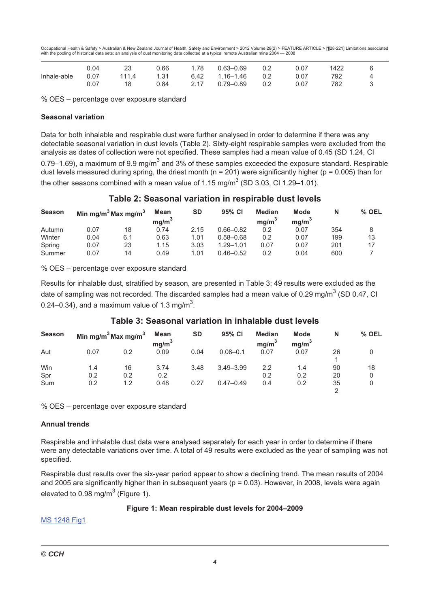|             | 0.04 |       | 0.66 | 1.78 | $0.63 - 0.69$ | 0.2 | 0.07 | 1422 |  |
|-------------|------|-------|------|------|---------------|-----|------|------|--|
| Inhale-able | 0.07 | 111.4 | 1.31 | 6.42 | 1.16–1.46     | 0.2 | 0.07 | 792  |  |
|             | 0.07 | 18    | 0.84 | 2.17 | 0.79–0.89     | 0.2 | 0.07 | 782  |  |

% OES - percentage over exposure standard

#### **Seasonal variation**

Data for both inhalable and respirable dust were further analysed in order to determine if there was any detectable seasonal variation in dust levels (Table 2). Sixty-eight respirable samples were excluded from the analysis as dates of collection were not specified. These samples had a mean value of 0.45 (SD 1.24, CI 0.79–1.69), a maximum of 9.9 mg/m<sup>3</sup> and 3% of these samples exceeded the exposure standard. Respirable dust levels measured during spring, the driest month ( $n = 201$ ) were significantly higher ( $p = 0.005$ ) than for the other seasons combined with a mean value of 1.15 mg/m<sup>3</sup> (SD 3.03, CI 1.29–1.01).

## Table 2: Seasonal variation in respirable dust levels

| <b>Season</b> | Min mg/m <sup>3</sup> Max mg/m <sup>3</sup> |     | Mean<br>mg/m <sup>3</sup> | <b>SD</b> | 95% CI        | <b>Median</b><br>ma/m <sup>3</sup> | Mode<br>mg/m <sup>3</sup> | N   | % OEL |
|---------------|---------------------------------------------|-----|---------------------------|-----------|---------------|------------------------------------|---------------------------|-----|-------|
| Autumn        | 0.07                                        | 18  | 0.74                      | 2.15      | $0.66 - 0.82$ | 0.2                                | 0.07                      | 354 |       |
| Winter        | 0.04                                        | 6.1 | 0.63                      | 1.01      | $0.58 - 0.68$ | 0.2                                | 0.07                      | 199 | 13    |
| Spring        | 0.07                                        | 23  | 1.15                      | 3.03      | $1.29 - 1.01$ | 0.07                               | 0.07                      | 201 | 17    |
| Summer        | 0.07                                        | 14  | 0.49                      | 1.01      | $0.46 - 0.52$ | 0.2                                | 0.04                      | 600 |       |

% OES - percentage over exposure standard

Results for inhalable dust, stratified by season, are presented in Table 3; 49 results were excluded as the date of sampling was not recorded. The discarded samples had a mean value of 0.29 mg/m<sup>3</sup> (SD 0.47, CI 0.24–0.34), and a maximum value of 1.3 mg/m<sup>3</sup>.

## Table 3: Seasonal variation in inhalable dust levels

| <b>Season</b> |      | Min mg/m <sup>3</sup> Max mg/m <sup>3</sup> | Mean<br>mg/m <sup>3</sup> | <b>SD</b> | 95% CI        | <b>Median</b><br>mg/m <sup>3</sup> | <b>Mode</b><br>mg/m <sup>3</sup> | N  | $%$ OEL |
|---------------|------|---------------------------------------------|---------------------------|-----------|---------------|------------------------------------|----------------------------------|----|---------|
| Aut           | 0.07 | 0.2                                         | 0.09                      | 0.04      | $0.08 - 0.1$  | 0.07                               | 0.07                             | 26 |         |
| Win           | 1.4  | 16                                          | 3.74                      | 3.48      | $3.49 - 3.99$ | 2.2                                | 1.4                              | 90 | 18      |
| Spr           | 0.2  | 0.2                                         | 0.2                       |           |               | 0.2                                | 0.2                              | 20 |         |
| Sum           | 0.2  | 1.2                                         | 0.48                      | 0.27      | $0.47 - 0.49$ | 0.4                                | 0.2                              | 35 |         |
|               |      |                                             |                           |           |               |                                    |                                  |    |         |

% OES - percentage over exposure standard

#### **Annual trends**

Respirable and inhalable dust data were analysed separately for each year in order to determine if there were any detectable variations over time. A total of 49 results were excluded as the year of sampling was not specified.

Respirable dust results over the six-year period appear to show a declining trend. The mean results of 2004 and 2005 are significantly higher than in subsequent years ( $p = 0.03$ ). However, in 2008, levels were again elevated to 0.98 mg/m<sup>3</sup> (Figure 1).

#### Figure 1: Mean respirable dust levels for 2004-2009

**MS 1248 Fig1**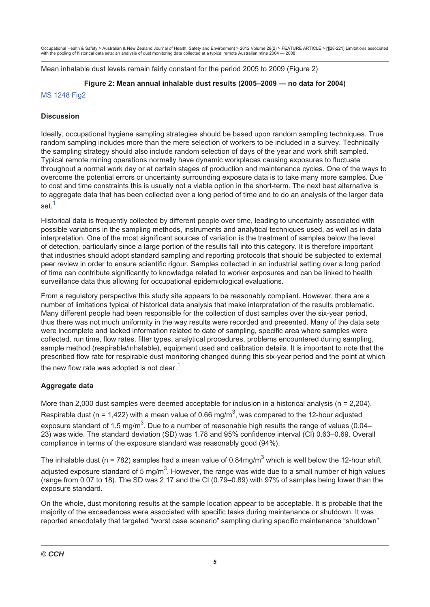Mean inhalable dust levels remain fairly constant for the period 2005 to 2009 (Figure 2)

## Figure 2: Mean annual inhalable dust results (2005-2009 - no data for 2004)

## **MS 1248 Fig2**

## **Discussion**

Ideally, occupational hygiene sampling strategies should be based upon random sampling techniques. True random sampling includes more than the mere selection of workers to be included in a survey. Technically the sampling strategy should also include random selection of days of the year and work shift sampled. Typical remote mining operations normally have dynamic workplaces causing exposures to fluctuate throughout a normal work day or at certain stages of production and maintenance cycles. One of the ways to overcome the potential errors or uncertainty surrounding exposure data is to take many more samples. Due to cost and time constraints this is usually not a viable option in the short-term. The next best alternative is to aggregate data that has been collected over a long period of time and to do an analysis of the larger data set $<sup>1</sup>$ </sup>

Historical data is frequently collected by different people over time, leading to uncertainty associated with possible variations in the sampling methods, instruments and analytical techniques used, as well as in data interpretation. One of the most significant sources of variation is the treatment of samples below the level of detection, particularly since a large portion of the results fall into this category. It is therefore important that industries should adopt standard sampling and reporting protocols that should be subjected to external peer review in order to ensure scientific rigour. Samples collected in an industrial setting over a long period of time can contribute significantly to knowledge related to worker exposures and can be linked to health surveillance data thus allowing for occupational epidemiological evaluations.

From a regulatory perspective this study site appears to be reasonably compliant. However, there are a number of limitations typical of historical data analysis that make interpretation of the results problematic. Many different people had been responsible for the collection of dust samples over the six-year period, thus there was not much uniformity in the way results were recorded and presented. Many of the data sets were incomplete and lacked information related to date of sampling, specific area where samples were collected, run time, flow rates, filter types, analytical procedures, problems encountered during sampling, sample method (respirable/inhalable), equipment used and calibration details. It is important to note that the prescribed flow rate for respirable dust monitoring changed during this six-year period and the point at which the new flow rate was adopted is not clear.<sup>1</sup>

## Aggregate data

More than 2,000 dust samples were deemed acceptable for inclusion in a historical analysis ( $n = 2,204$ ). Respirable dust ( $n = 1.422$ ) with a mean value of 0.66 mg/m<sup>3</sup>, was compared to the 12-hour adjusted exposure standard of 1.5 mg/m<sup>3</sup>. Due to a number of reasonable high results the range of values (0.04– 23) was wide. The standard deviation (SD) was 1.78 and 95% confidence interval (CI) 0.63-0.69. Overall compliance in terms of the exposure standard was reasonably good (94%).

The inhalable dust ( $n = 782$ ) samples had a mean value of 0.84mg/m<sup>3</sup> which is well below the 12-hour shift adiusted exposure standard of 5 mg/m<sup>3</sup>. However, the range was wide due to a small number of high values (range from 0.07 to 18). The SD was 2.17 and the CI (0.79-0.89) with 97% of samples being lower than the exposure standard.

On the whole, dust monitoring results at the sample location appear to be acceptable. It is probable that the majority of the exceedences were associated with specific tasks during maintenance or shutdown. It was reported anecdotally that targeted "worst case scenario" sampling during specific maintenance "shutdown"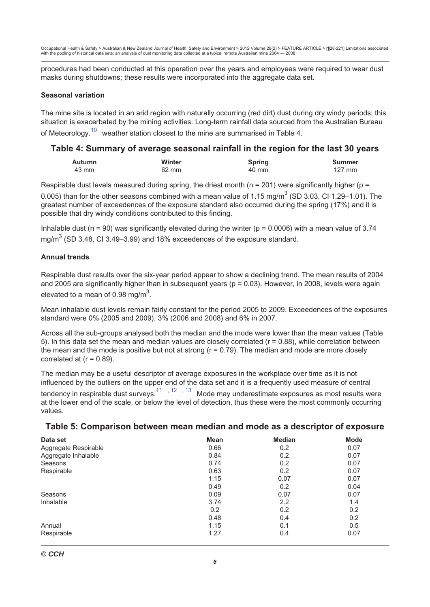procedures had been conducted at this operation over the years and employees were required to wear dust masks during shutdowns; these results were incorporated into the aggregate data set.

#### **Seasonal variation**

The mine site is located in an arid region with naturally occurring (red dirt) dust during dry windy periods; this situation is exacerbated by the mining activities. Long-term rainfall data sourced from the Australian Bureau of Meteorology.<sup>10</sup> weather station closest to the mine are summarised in Table 4.

## Table 4: Summary of average seasonal rainfall in the region for the last 30 years

| Autumn | <b>Winter</b> | Spring | <b>Summer</b> |
|--------|---------------|--------|---------------|
| 43 mm  | 62 mm         | 40 mm  | 127 mm        |

Respirable dust levels measured during spring, the driest month ( $n = 201$ ) were significantly higher ( $p =$ 

0.005) than for the other seasons combined with a mean value of 1.15 mg/m<sup>3</sup> (SD 3.03, CI 1.29–1.01). The greatest number of exceedences of the exposure standard also occurred during the spring (17%) and it is possible that dry windy conditions contributed to this finding.

Inhalable dust ( $n = 90$ ) was significantly elevated during the winter ( $p = 0.0006$ ) with a mean value of 3.74 mq/m<sup>3</sup> (SD 3.48, Cl 3.49-3.99) and 18% exceedences of the exposure standard.

#### **Annual trends**

Respirable dust results over the six-year period appear to show a declining trend. The mean results of 2004 and 2005 are significantly higher than in subsequent years ( $p = 0.03$ ). However, in 2008, levels were again elevated to a mean of 0.98 mg/m<sup>3</sup>.

Mean inhalable dust levels remain fairly constant for the period 2005 to 2009. Exceedences of the exposures standard were 0% (2005 and 2009), 3% (2006 and 2008) and 6% in 2007.

Across all the sub-groups analysed both the median and the mode were lower than the mean values (Table 5). In this data set the mean and median values are closely correlated ( $r = 0.88$ ), while correlation between the mean and the mode is positive but not at strong  $(r = 0.79)$ . The median and mode are more closely correlated at  $(r = 0.89)$ .

The median may be a useful descriptor of average exposures in the workplace over time as it is not influenced by the outliers on the upper end of the data set and it is a frequently used measure of central tendency in respirable dust surveys.<sup>11</sup>, <sup>12</sup>, <sup>13</sup> Mode may underestimate exposures as most results were at the lower end of the scale, or below the level of detection, thus these were the most commonly occurring values.

| Table 5: Comparison between mean median and mode as a descriptor of exposure |  |  |  |
|------------------------------------------------------------------------------|--|--|--|
|                                                                              |  |  |  |

| Data set             | <b>Mean</b> | <b>Median</b> | <b>Mode</b> |
|----------------------|-------------|---------------|-------------|
| Aggregate Respirable | 0.66        | 0.2           | 0.07        |
| Aggregate Inhalable  | 0.84        | 0.2           | 0.07        |
| Seasons              | 0.74        | 0.2           | 0.07        |
| Respirable           | 0.63        | 0.2           | 0.07        |
|                      | 1.15        | 0.07          | 0.07        |
|                      | 0.49        | 0.2           | 0.04        |
| Seasons              | 0.09        | 0.07          | 0.07        |
| Inhalable            | 3.74        | 2.2           | 1.4         |
|                      | 0.2         | 0.2           | 0.2         |
|                      | 0.48        | 0.4           | 0.2         |
| Annual               | 1.15        | 0.1           | 0.5         |
| Respirable           | 1.27        | 0.4           | 0.07        |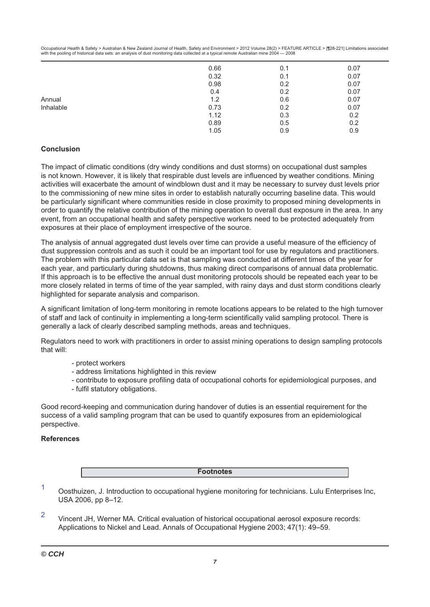|           | 0.66         | 0.1        | 0.07         |
|-----------|--------------|------------|--------------|
|           | 0.32<br>0.98 | 0.1<br>0.2 | 0.07<br>0.07 |
|           | 0.4          | 0.2        | 0.07         |
| Annual    | 1.2          | 0.6        | 0.07         |
| Inhalable | 0.73         | 0.2        | 0.07         |
|           | 1.12         | 0.3        | 0.2          |
|           | 0.89         | 0.5        | 0.2          |
|           | 1.05         | 0.9        | 0.9          |

## **Conclusion**

The impact of climatic conditions (dry windy conditions and dust storms) on occupational dust samples is not known. However, it is likely that respirable dust levels are influenced by weather conditions. Mining activities will exacerbate the amount of windblown dust and it may be necessary to survey dust levels prior to the commissioning of new mine sites in order to establish naturally occurring baseline data. This would be particularly significant where communities reside in close proximity to proposed mining developments in order to quantify the relative contribution of the mining operation to overall dust exposure in the area. In any event, from an occupational health and safety perspective workers need to be protected adequately from exposures at their place of employment irrespective of the source.

The analysis of annual aggregated dust levels over time can provide a useful measure of the efficiency of dust suppression controls and as such it could be an important tool for use by regulators and practitioners. The problem with this particular data set is that sampling was conducted at different times of the year for each year, and particularly during shutdowns, thus making direct comparisons of annual data problematic. If this approach is to be effective the annual dust monitoring protocols should be repeated each year to be more closely related in terms of time of the year sampled, with rainy days and dust storm conditions clearly highlighted for separate analysis and comparison.

A significant limitation of long-term monitoring in remote locations appears to be related to the high turnover of staff and lack of continuity in implementing a long-term scientifically valid sampling protocol. There is generally a lack of clearly described sampling methods, areas and techniques.

Regulators need to work with practitioners in order to assist mining operations to design sampling protocols that will:

- protect workers
- address limitations highlighted in this review
- contribute to exposure profiling data of occupational cohorts for epidemiological purposes, and
- fulfil statutory obligations.

Good record-keeping and communication during handover of duties is an essential requirement for the success of a valid sampling program that can be used to quantify exposures from an epidemiological perspective.

#### **References**

|  | - - |  |
|--|-----|--|
|  |     |  |

1 Oosthuizen, J. Introduction to occupational hygiene monitoring for technicians. Lulu Enterprises Inc, USA 2006, pp 8-12.

 $\overline{2}$ Vincent JH. Werner MA. Critical evaluation of historical occupational aerosol exposure records: Applications to Nickel and Lead. Annals of Occupational Hygiene 2003; 47(1): 49–59.